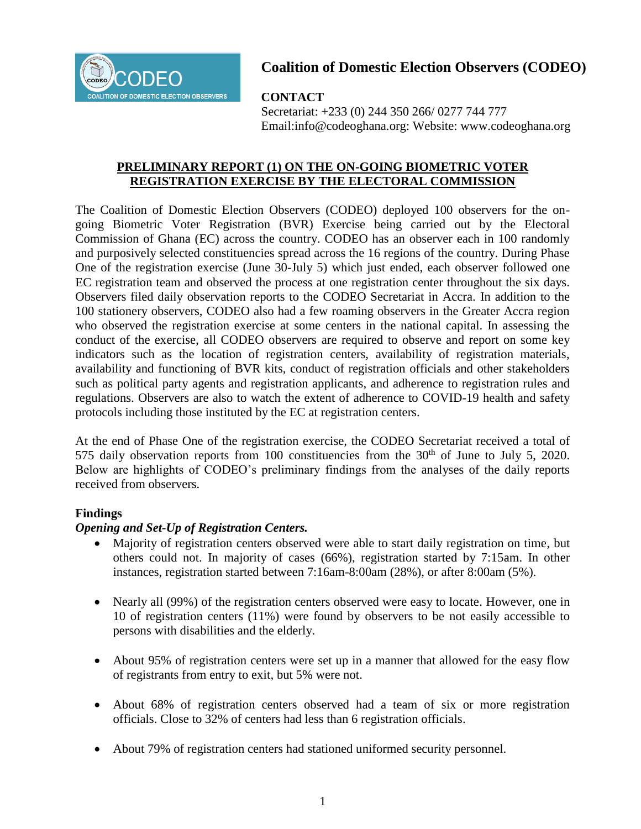

# **Coalition of Domestic Election Observers (CODEO)**

## **CONTACT**

Secretariat: +233 (0) 244 350 266/ 0277 744 777 Email:info@codeoghana.org: Website: www.codeoghana.org

## **PRELIMINARY REPORT (1) ON THE ON-GOING BIOMETRIC VOTER STATEMENT ON THE VOTER REGISTER REGISTRATION EXERCISE BY THE ELECTORAL COMMISSION**

The Coalition of Domestic Election Observers (CODEO) deployed 100 observers for the ongoing Biometric Voter Registration (BVR) Exercise being carried out by the Electoral Commission of Ghana (EC) across the country. CODEO has an observer each in 100 randomly and purposively selected constituencies spread across the 16 regions of the country. During Phase One of the registration exercise (June 30-July 5) which just ended, each observer followed one EC registration team and observed the process at one registration center throughout the six days. Observers filed daily observation reports to the CODEO Secretariat in Accra. In addition to the 100 stationery observers, CODEO also had a few roaming observers in the Greater Accra region who observed the registration exercise at some centers in the national capital. In assessing the conduct of the exercise, all CODEO observers are required to observe and report on some key indicators such as the location of registration centers, availability of registration materials, availability and functioning of BVR kits, conduct of registration officials and other stakeholders such as political party agents and registration applicants, and adherence to registration rules and regulations. Observers are also to watch the extent of adherence to COVID-19 health and safety protocols including those instituted by the EC at registration centers.

At the end of Phase One of the registration exercise, the CODEO Secretariat received a total of 575 daily observation reports from 100 constituencies from the  $30<sup>th</sup>$  of June to July 5, 2020. Below are highlights of CODEO's preliminary findings from the analyses of the daily reports received from observers.

## **Findings**

## *Opening and Set-Up of Registration Centers.*

- Majority of registration centers observed were able to start daily registration on time, but others could not. In majority of cases (66%), registration started by 7:15am. In other instances, registration started between 7:16am-8:00am (28%), or after 8:00am (5%).
- Nearly all (99%) of the registration centers observed were easy to locate. However, one in 10 of registration centers (11%) were found by observers to be not easily accessible to persons with disabilities and the elderly.
- About 95% of registration centers were set up in a manner that allowed for the easy flow of registrants from entry to exit, but 5% were not.
- About 68% of registration centers observed had a team of six or more registration officials. Close to 32% of centers had less than 6 registration officials.
- About 79% of registration centers had stationed uniformed security personnel.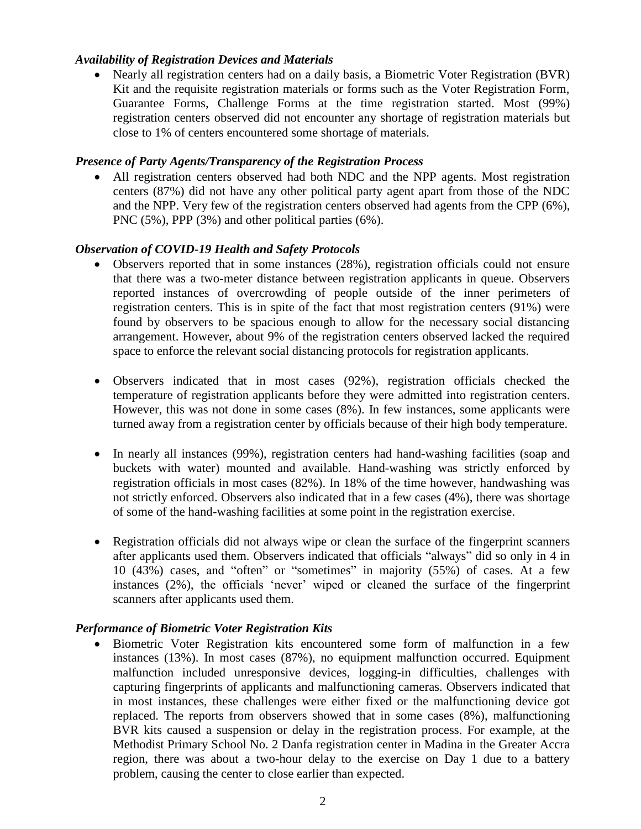#### *Availability of Registration Devices and Materials*

 Nearly all registration centers had on a daily basis, a Biometric Voter Registration (BVR) Kit and the requisite registration materials or forms such as the Voter Registration Form, Guarantee Forms, Challenge Forms at the time registration started. Most (99%) registration centers observed did not encounter any shortage of registration materials but close to 1% of centers encountered some shortage of materials.

#### *Presence of Party Agents/Transparency of the Registration Process*

 All registration centers observed had both NDC and the NPP agents. Most registration centers (87%) did not have any other political party agent apart from those of the NDC and the NPP. Very few of the registration centers observed had agents from the CPP (6%), PNC (5%), PPP (3%) and other political parties (6%).

#### *Observation of COVID-19 Health and Safety Protocols*

- Observers reported that in some instances (28%), registration officials could not ensure that there was a two-meter distance between registration applicants in queue. Observers reported instances of overcrowding of people outside of the inner perimeters of registration centers. This is in spite of the fact that most registration centers (91%) were found by observers to be spacious enough to allow for the necessary social distancing arrangement. However, about 9% of the registration centers observed lacked the required space to enforce the relevant social distancing protocols for registration applicants.
- Observers indicated that in most cases (92%), registration officials checked the temperature of registration applicants before they were admitted into registration centers. However, this was not done in some cases (8%). In few instances, some applicants were turned away from a registration center by officials because of their high body temperature.
- In nearly all instances (99%), registration centers had hand-washing facilities (soap and buckets with water) mounted and available. Hand-washing was strictly enforced by registration officials in most cases (82%). In 18% of the time however, handwashing was not strictly enforced. Observers also indicated that in a few cases (4%), there was shortage of some of the hand-washing facilities at some point in the registration exercise.
- Registration officials did not always wipe or clean the surface of the fingerprint scanners after applicants used them. Observers indicated that officials "always" did so only in 4 in 10 (43%) cases, and "often" or "sometimes" in majority (55%) of cases. At a few instances (2%), the officials 'never' wiped or cleaned the surface of the fingerprint scanners after applicants used them.

## *Performance of Biometric Voter Registration Kits*

 Biometric Voter Registration kits encountered some form of malfunction in a few instances (13%). In most cases (87%), no equipment malfunction occurred. Equipment malfunction included unresponsive devices, logging-in difficulties, challenges with capturing fingerprints of applicants and malfunctioning cameras. Observers indicated that in most instances, these challenges were either fixed or the malfunctioning device got replaced. The reports from observers showed that in some cases (8%), malfunctioning BVR kits caused a suspension or delay in the registration process. For example, at the Methodist Primary School No. 2 Danfa registration center in Madina in the Greater Accra region, there was about a two-hour delay to the exercise on Day 1 due to a battery problem, causing the center to close earlier than expected.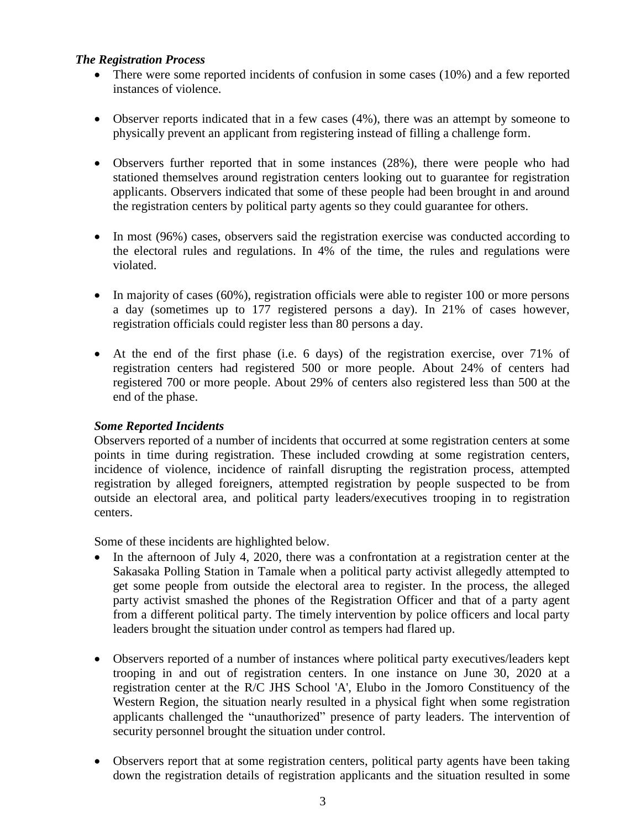#### *The Registration Process*

- There were some reported incidents of confusion in some cases (10%) and a few reported instances of violence.
- Observer reports indicated that in a few cases (4%), there was an attempt by someone to physically prevent an applicant from registering instead of filling a challenge form.
- Observers further reported that in some instances (28%), there were people who had stationed themselves around registration centers looking out to guarantee for registration applicants. Observers indicated that some of these people had been brought in and around the registration centers by political party agents so they could guarantee for others.
- In most (96%) cases, observers said the registration exercise was conducted according to the electoral rules and regulations. In 4% of the time, the rules and regulations were violated.
- $\bullet$  In majority of cases (60%), registration officials were able to register 100 or more persons a day (sometimes up to 177 registered persons a day). In 21% of cases however, registration officials could register less than 80 persons a day.
- At the end of the first phase (i.e. 6 days) of the registration exercise, over 71% of registration centers had registered 500 or more people. About 24% of centers had registered 700 or more people. About 29% of centers also registered less than 500 at the end of the phase.

## *Some Reported Incidents*

Observers reported of a number of incidents that occurred at some registration centers at some points in time during registration. These included crowding at some registration centers, incidence of violence, incidence of rainfall disrupting the registration process, attempted registration by alleged foreigners, attempted registration by people suspected to be from outside an electoral area, and political party leaders/executives trooping in to registration centers.

Some of these incidents are highlighted below.

- In the afternoon of July 4, 2020, there was a confrontation at a registration center at the Sakasaka Polling Station in Tamale when a political party activist allegedly attempted to get some people from outside the electoral area to register. In the process, the alleged party activist smashed the phones of the Registration Officer and that of a party agent from a different political party. The timely intervention by police officers and local party leaders brought the situation under control as tempers had flared up.
- Observers reported of a number of instances where political party executives/leaders kept trooping in and out of registration centers. In one instance on June 30, 2020 at a registration center at the R/C JHS School 'A', Elubo in the Jomoro Constituency of the Western Region, the situation nearly resulted in a physical fight when some registration applicants challenged the "unauthorized" presence of party leaders. The intervention of security personnel brought the situation under control.
- Observers report that at some registration centers, political party agents have been taking down the registration details of registration applicants and the situation resulted in some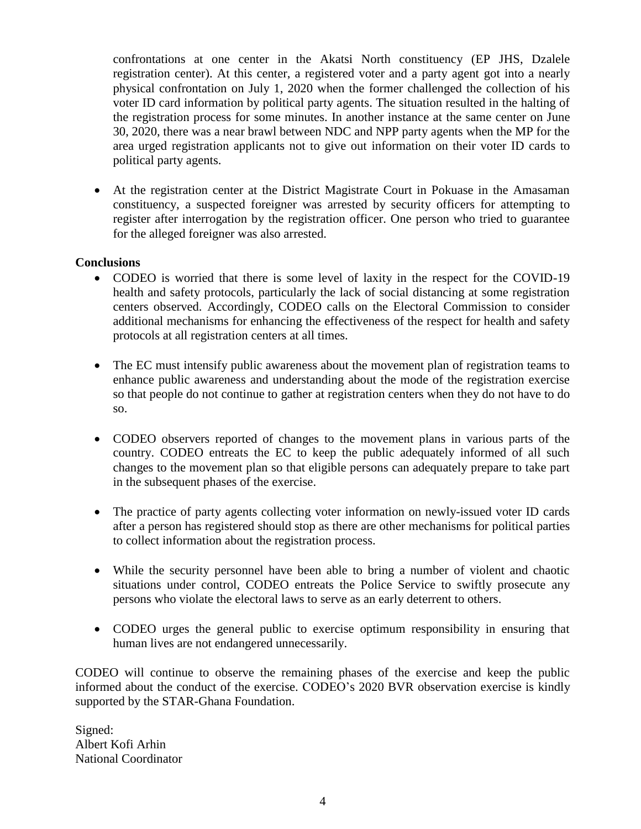confrontations at one center in the Akatsi North constituency (EP JHS, Dzalele registration center). At this center, a registered voter and a party agent got into a nearly physical confrontation on July 1, 2020 when the former challenged the collection of his voter ID card information by political party agents. The situation resulted in the halting of the registration process for some minutes. In another instance at the same center on June 30, 2020, there was a near brawl between NDC and NPP party agents when the MP for the area urged registration applicants not to give out information on their voter ID cards to political party agents.

 At the registration center at the District Magistrate Court in Pokuase in the Amasaman constituency, a suspected foreigner was arrested by security officers for attempting to register after interrogation by the registration officer. One person who tried to guarantee for the alleged foreigner was also arrested.

#### **Conclusions**

- CODEO is worried that there is some level of laxity in the respect for the COVID-19 health and safety protocols, particularly the lack of social distancing at some registration centers observed. Accordingly, CODEO calls on the Electoral Commission to consider additional mechanisms for enhancing the effectiveness of the respect for health and safety protocols at all registration centers at all times.
- The EC must intensify public awareness about the movement plan of registration teams to enhance public awareness and understanding about the mode of the registration exercise so that people do not continue to gather at registration centers when they do not have to do so.
- CODEO observers reported of changes to the movement plans in various parts of the country. CODEO entreats the EC to keep the public adequately informed of all such changes to the movement plan so that eligible persons can adequately prepare to take part in the subsequent phases of the exercise.
- The practice of party agents collecting voter information on newly-issued voter ID cards after a person has registered should stop as there are other mechanisms for political parties to collect information about the registration process.
- While the security personnel have been able to bring a number of violent and chaotic situations under control, CODEO entreats the Police Service to swiftly prosecute any persons who violate the electoral laws to serve as an early deterrent to others.
- CODEO urges the general public to exercise optimum responsibility in ensuring that human lives are not endangered unnecessarily.

CODEO will continue to observe the remaining phases of the exercise and keep the public informed about the conduct of the exercise. CODEO's 2020 BVR observation exercise is kindly supported by the STAR-Ghana Foundation.

Signed: Albert Kofi Arhin National Coordinator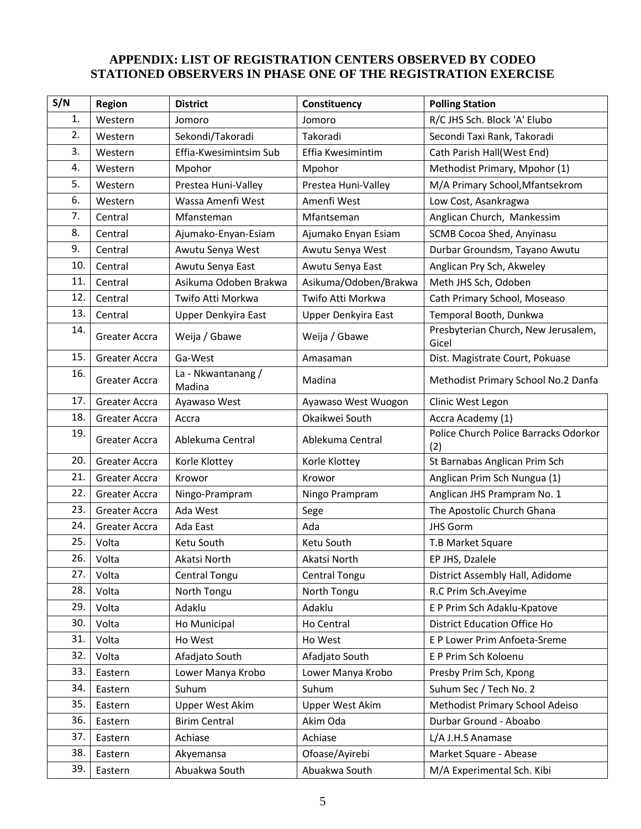## **APPENDIX: LIST OF REGISTRATION CENTERS OBSERVED BY CODEO STATIONED OBSERVERS IN PHASE ONE OF THE REGISTRATION EXERCISE**

| S/N | <b>Region</b> | <b>District</b>              | Constituency           | <b>Polling Station</b>                       |
|-----|---------------|------------------------------|------------------------|----------------------------------------------|
| 1.  | Western       | Jomoro                       | Jomoro                 | R/C JHS Sch. Block 'A' Elubo                 |
| 2.  | Western       | Sekondi/Takoradi             | Takoradi               | Secondi Taxi Rank, Takoradi                  |
| 3.  | Western       | Effia-Kwesimintsim Sub       | Effia Kwesimintim      | Cath Parish Hall(West End)                   |
| 4.  | Western       | Mpohor                       | Mpohor                 | Methodist Primary, Mpohor (1)                |
| 5.  | Western       | Prestea Huni-Valley          | Prestea Huni-Valley    | M/A Primary School, Mfantsekrom              |
| 6.  | Western       | Wassa Amenfi West            | Amenfi West            | Low Cost, Asankragwa                         |
| 7.  | Central       | Mfansteman                   | Mfantseman             | Anglican Church, Mankessim                   |
| 8.  | Central       | Ajumako-Enyan-Esiam          | Ajumako Enyan Esiam    | SCMB Cocoa Shed, Anyinasu                    |
| 9.  | Central       | Awutu Senya West             | Awutu Senya West       | Durbar Groundsm, Tayano Awutu                |
| 10. | Central       | Awutu Senya East             | Awutu Senya East       | Anglican Pry Sch, Akweley                    |
| 11. | Central       | Asikuma Odoben Brakwa        | Asikuma/Odoben/Brakwa  | Meth JHS Sch, Odoben                         |
| 12. | Central       | Twifo Atti Morkwa            | Twifo Atti Morkwa      | Cath Primary School, Moseaso                 |
| 13. | Central       | Upper Denkyira East          | Upper Denkyira East    | Temporal Booth, Dunkwa                       |
| 14. | Greater Accra | Weija / Gbawe                | Weija / Gbawe          | Presbyterian Church, New Jerusalem,<br>Gicel |
| 15. | Greater Accra | Ga-West                      | Amasaman               | Dist. Magistrate Court, Pokuase              |
| 16. | Greater Accra | La - Nkwantanang /<br>Madina | Madina                 | Methodist Primary School No.2 Danfa          |
| 17. | Greater Accra | Ayawaso West                 | Ayawaso West Wuogon    | Clinic West Legon                            |
| 18. | Greater Accra | Accra                        | Okaikwei South         | Accra Academy (1)                            |
| 19. | Greater Accra | Ablekuma Central             | Ablekuma Central       | Police Church Police Barracks Odorkor<br>(2) |
| 20. | Greater Accra | Korle Klottey                | Korle Klottey          | St Barnabas Anglican Prim Sch                |
| 21. | Greater Accra | Krowor                       | Krowor                 | Anglican Prim Sch Nungua (1)                 |
| 22. | Greater Accra | Ningo-Prampram               | Ningo Prampram         | Anglican JHS Prampram No. 1                  |
| 23. | Greater Accra | Ada West                     | Sege                   | The Apostolic Church Ghana                   |
| 24. | Greater Accra | Ada East                     | Ada                    | <b>JHS Gorm</b>                              |
| 25. | Volta         | Ketu South                   | Ketu South             | T.B Market Square                            |
| 26. | Volta         | Akatsi North                 | Akatsi North           | EP JHS, Dzalele                              |
| 27. | Volta         | Central Tongu                | Central Tongu          | District Assembly Hall, Adidome              |
| 28. | Volta         | North Tongu                  | North Tongu            | R.C Prim Sch.Aveyime                         |
| 29. | Volta         | Adaklu                       | Adaklu                 | E P Prim Sch Adaklu-Kpatove                  |
| 30. | Volta         | Ho Municipal                 | Ho Central             | District Education Office Ho                 |
| 31. | Volta         | Ho West                      | Ho West                | E P Lower Prim Anfoeta-Sreme                 |
| 32. | Volta         | Afadjato South               | Afadjato South         | E P Prim Sch Koloenu                         |
| 33. | Eastern       | Lower Manya Krobo            | Lower Manya Krobo      | Presby Prim Sch, Kpong                       |
| 34. | Eastern       | Suhum                        | Suhum                  | Suhum Sec / Tech No. 2                       |
| 35. | Eastern       | <b>Upper West Akim</b>       | <b>Upper West Akim</b> | Methodist Primary School Adeiso              |
| 36. | Eastern       | <b>Birim Central</b>         | Akim Oda               | Durbar Ground - Aboabo                       |
| 37. | Eastern       | Achiase                      | Achiase                | L/A J.H.S Anamase                            |
| 38. | Eastern       | Akyemansa                    | Ofoase/Ayirebi         | Market Square - Abease                       |
| 39. | Eastern       | Abuakwa South                | Abuakwa South          | M/A Experimental Sch. Kibi                   |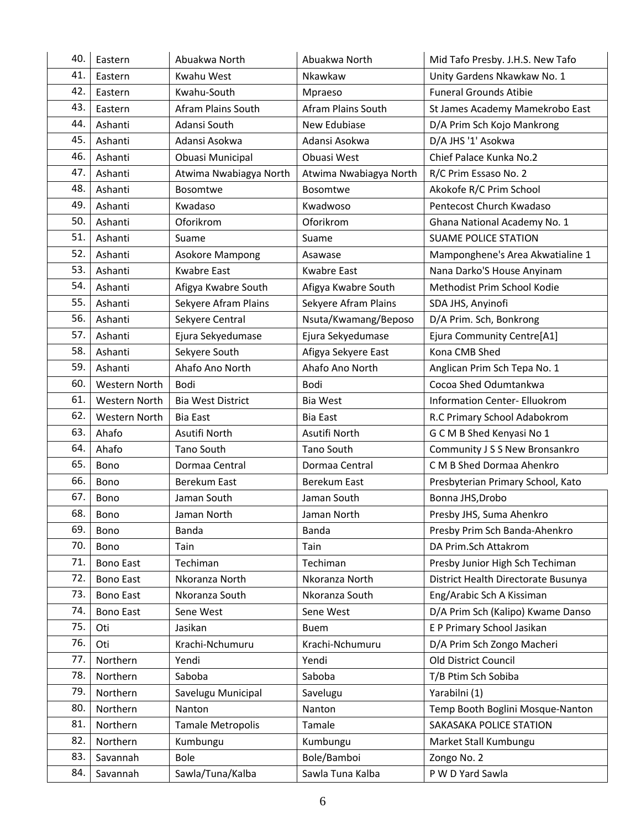| 40. | Eastern          | Abuakwa North            | Abuakwa North             | Mid Tafo Presby. J.H.S. New Tafo     |
|-----|------------------|--------------------------|---------------------------|--------------------------------------|
| 41. | Eastern          | Kwahu West               | Nkawkaw                   | Unity Gardens Nkawkaw No. 1          |
| 42. | Eastern          | Kwahu-South              | Mpraeso                   | <b>Funeral Grounds Atibie</b>        |
| 43. | Eastern          | Afram Plains South       | <b>Afram Plains South</b> | St James Academy Mamekrobo East      |
| 44. | Ashanti          | Adansi South             | New Edubiase              | D/A Prim Sch Kojo Mankrong           |
| 45. | Ashanti          | Adansi Asokwa            | Adansi Asokwa             | D/A JHS '1' Asokwa                   |
| 46. | Ashanti          | Obuasi Municipal         | Obuasi West               | Chief Palace Kunka No.2              |
| 47. | Ashanti          | Atwima Nwabiagya North   | Atwima Nwabiagya North    | R/C Prim Essaso No. 2                |
| 48. | Ashanti          | Bosomtwe                 | <b>Bosomtwe</b>           | Akokofe R/C Prim School              |
| 49. | Ashanti          | Kwadaso                  | Kwadwoso                  | Pentecost Church Kwadaso             |
| 50. | Ashanti          | Oforikrom                | Oforikrom                 | Ghana National Academy No. 1         |
| 51. | Ashanti          | Suame                    | Suame                     | <b>SUAME POLICE STATION</b>          |
| 52. | Ashanti          | <b>Asokore Mampong</b>   | Asawase                   | Mamponghene's Area Akwatialine 1     |
| 53. | Ashanti          | <b>Kwabre East</b>       | <b>Kwabre East</b>        | Nana Darko'S House Anyinam           |
| 54. | Ashanti          | Afigya Kwabre South      | Afigya Kwabre South       | Methodist Prim School Kodie          |
| 55. | Ashanti          | Sekyere Afram Plains     | Sekyere Afram Plains      | SDA JHS, Anyinofi                    |
| 56. | Ashanti          | Sekyere Central          | Nsuta/Kwamang/Beposo      | D/A Prim. Sch, Bonkrong              |
| 57. | Ashanti          | Ejura Sekyedumase        | Ejura Sekyedumase         | Ejura Community Centre[A1]           |
| 58. | Ashanti          | Sekyere South            | Afigya Sekyere East       | Kona CMB Shed                        |
| 59. | Ashanti          | Ahafo Ano North          | Ahafo Ano North           | Anglican Prim Sch Tepa No. 1         |
| 60. | Western North    | Bodi                     | <b>Bodi</b>               | Cocoa Shed Odumtankwa                |
| 61. | Western North    | <b>Bia West District</b> | Bia West                  | <b>Information Center- Elluokrom</b> |
| 62. | Western North    | <b>Bia East</b>          | <b>Bia East</b>           | R.C Primary School Adabokrom         |
| 63. | Ahafo            | Asutifi North            | Asutifi North             | G C M B Shed Kenyasi No 1            |
| 64. | Ahafo            | Tano South               | Tano South                | Community J S S New Bronsankro       |
| 65. | Bono             | Dormaa Central           | Dormaa Central            | C M B Shed Dormaa Ahenkro            |
| 66. | Bono             | Berekum East             | Berekum East              | Presbyterian Primary School, Kato    |
| 67. | Bono             | Jaman South              | Jaman South               | Bonna JHS, Drobo                     |
| 68. | Bono             | Jaman North              | Jaman North               | Presby JHS, Suma Ahenkro             |
| 69. | Bono             | Banda                    | Banda                     | Presby Prim Sch Banda-Ahenkro        |
| 70. | Bono             | Tain                     | Tain                      | DA Prim.Sch Attakrom                 |
| 71. | <b>Bono East</b> | Techiman                 | Techiman                  | Presby Junior High Sch Techiman      |
| 72. | <b>Bono East</b> | Nkoranza North           | Nkoranza North            | District Health Directorate Busunya  |
| 73. | <b>Bono East</b> | Nkoranza South           | Nkoranza South            | Eng/Arabic Sch A Kissiman            |
| 74. | <b>Bono East</b> | Sene West                | Sene West                 | D/A Prim Sch (Kalipo) Kwame Danso    |
| 75. | Oti              | Jasikan                  | <b>Buem</b>               | E P Primary School Jasikan           |
| 76. | Oti              | Krachi-Nchumuru          | Krachi-Nchumuru           | D/A Prim Sch Zongo Macheri           |
| 77. | Northern         | Yendi                    | Yendi                     | Old District Council                 |
| 78. | Northern         | Saboba                   | Saboba                    | T/B Ptim Sch Sobiba                  |
| 79. | Northern         | Savelugu Municipal       | Savelugu                  | Yarabilni (1)                        |
| 80. | Northern         | Nanton                   | Nanton                    | Temp Booth Boglini Mosque-Nanton     |
| 81. | Northern         | Tamale Metropolis        | Tamale                    | SAKASAKA POLICE STATION              |
| 82. | Northern         | Kumbungu                 | Kumbungu                  | Market Stall Kumbungu                |
| 83. | Savannah         | <b>Bole</b>              | Bole/Bamboi               | Zongo No. 2                          |
| 84. | Savannah         | Sawla/Tuna/Kalba         | Sawla Tuna Kalba          | P W D Yard Sawla                     |